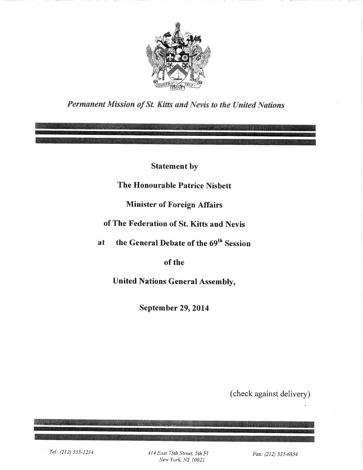

Permanent Mission of St. Kitts and Nevis to the United Nations

Statement by

The Honourable Patrice Nisbett

Minister of Foreign Affairs

of The Federation of St. Kitts and Nevis

at the General Debate of the 69<sup>th</sup> Session

of the

United Nations General Assembly,

September 29, 2014

(check against delivery)

Tel: (212) 535-1234

414 East 75th Street, 5th Fl Fax: (212) 535-6854 New York, NY 10021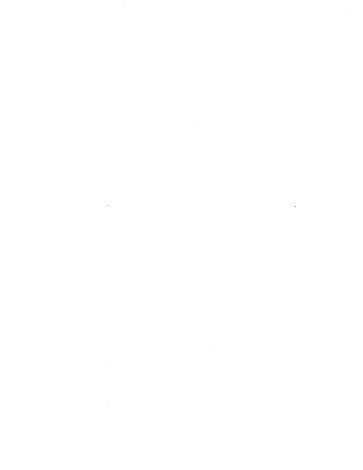$\label{eq:2.1} \frac{1}{2}\sum_{i=1}^n\frac{1}{2}\sum_{i=1}^n\frac{1}{2}\sum_{j=1}^n\frac{1}{2}\sum_{i=1}^n\frac{1}{2}\sum_{i=1}^n\frac{1}{2}\sum_{j=1}^n\frac{1}{2}\sum_{i=1}^n\frac{1}{2}\sum_{j=1}^n\frac{1}{2}\sum_{i=1}^n\frac{1}{2}\sum_{i=1}^n\frac{1}{2}\sum_{j=1}^n\frac{1}{2}\sum_{j=1}^n\frac{1}{2}\sum_{i=1}^n\frac{1}{2}\sum_{i=1}^n\$  $\mathcal{L}^{\text{max}}_{\text{max}}$  and  $\mathcal{L}^{\text{max}}_{\text{max}}$ 

 $\label{eq:2.1} \frac{1}{\sqrt{2}}\int_{\mathbb{R}^3}\frac{1}{\sqrt{2}}\left(\frac{1}{\sqrt{2}}\right)^2\frac{1}{\sqrt{2}}\left(\frac{1}{\sqrt{2}}\right)^2\frac{1}{\sqrt{2}}\left(\frac{1}{\sqrt{2}}\right)^2\frac{1}{\sqrt{2}}\left(\frac{1}{\sqrt{2}}\right)^2\frac{1}{\sqrt{2}}\left(\frac{1}{\sqrt{2}}\right)^2\frac{1}{\sqrt{2}}\frac{1}{\sqrt{2}}\frac{1}{\sqrt{2}}\frac{1}{\sqrt{2}}\frac{1}{\sqrt{2}}\frac{1}{\sqrt{2}}$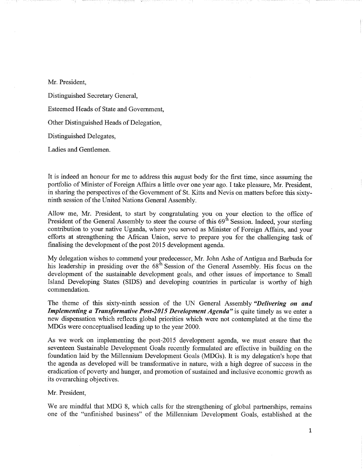Mr. President,

Distinguished Secretary General, Esteemed Heads of State and Government, Other Distinguished Heads of Delegation, Distinguished Delegates, Ladies and Gentlemen.

ninth session of the United Nations General Assembly.

It is indeed an honour for me to address this august body for the first time, since assuming the portfolio of Minister of Foreign Affairs a little over one year ago. I take pleasure, Mr. President, in sharing the perspectives of the Government of St. Kitts and Nevis on matters before this sixty-

Allow me, Mr. President, to start by congratulating you on your election to the office of President of the General Assembly to steer the course of this  $69<sup>th</sup>$  Session. Indeed, your sterling contribution to your native Uganda, where you served as Minister of Foreign Affairs, and your efforts at strengthening the African Union, serve to prepare you for the challenging task of finalising the development of the post 2015 development agenda.

My delegation wishes to commend your predecessor, Mr. John Ashe of Antigua and Barbuda for his leadership in presiding over the 68<sup>th</sup> Session of the General Assembly. His focus on the development of the sustainable development goals, and other issues of importance to Small Island Developing States (SIDS) and developing countries in particular is worthy of high commendation.

The theme of this sixty-ninth session of the UN General Assembly "Delivering on and Implementing a Transformative Post-2015 Development Agenda" is quite timely as we enter a new dispensation which reflects global priorities which were not contemplated at the time the MDGs were conceptualised leading up to the year 2000.

As we work on implementing the post-2015 development agenda, we must ensure that the seventeen Sustainable Development Goals recently formulated are effective in building on the foundation laid by the Millennium Development Goals (MDGs). It is my delegation's hope that the agenda as developed will be transformative in nature, with a high degree of success in the eradication of poverty and hunger, and promotion of sustained and inclusive economic growth as its overarching objectives.

Mr. President,

We are mindful that MDG 8, which calls for the strengthening of global partnerships, remains one of the "unfinished business" of the Millennium Development Goals, established at the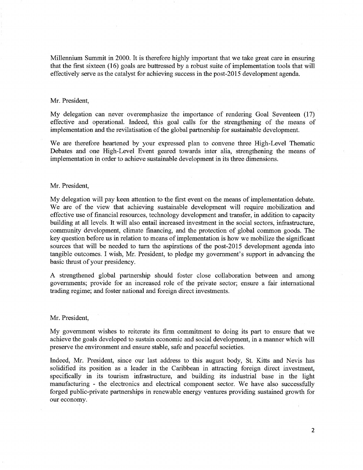Millennium Summit in 2000. It is therefore highly important that we take great care in ensuring that the first sixteen (16) goals are buttressed by a robust suite of implementation tools that will effectively serve as the catalyst for achieving success in the post-2015 development agenda.

### Mr. President,

My delegation can never overemphasize the importance of rendering Goal Seventeen (17) effective and operational. Indeed, this goal calls for the strengthening of the means of implementation and the revilatisation of the global parmership for sustainable development.

We are therefore heartened by your expressed plan to convene three High-Level Thematic Debates and one High-Level Event geared towards inter alia, strengthening the means of implementation in order to achieve sustainable development in its three dimensions.

## Mr. President,

My delegation will pay keen attention to the first event on the means of implementation debate. We are of the view that achieving sustainable development will require mobilization and effective use of financial resources, technology development and transfer, in addition to capacity building at all levels. It will also entail increased investment in the social sectors, infrastructure, community development, climate financing, and the protection of global common goods. The key question before us in relation to means of implementation is how we mobilize the significant sources that will be needed to turn the aspirations of the post-2015 development agenda into tangible outcomes. I wish, Mr. President, to pledge my government's support in advancing the basic thrust of your presidency.

A strengthened global partnership should foster close collaboration between and among governments; provide for an increased role of the private sector; ensure a fair international trading regime; and foster national and foreign direct investments.

#### Mr. President,

My government wishes to reiterate its firm commitment to doing its part to ensure that we achieve the goals developed to sustain economic and social development, in a manner which will preserve the environment and ensure stable, safe and peaceful societies.

Indeed, Mr. President, since our last address to this august body, St. Kitts and Nevis has solidified its position as a leader in the Caribbean in attracting foreign direct investment, specifically in its tourism infrastructure, and building its industrial base in the light manufacturing - the electronics and electrical component sector. We have also successfully forged public-private partnerships in renewable energy ventures providing sustained growth for our economy.

 $\overline{2}$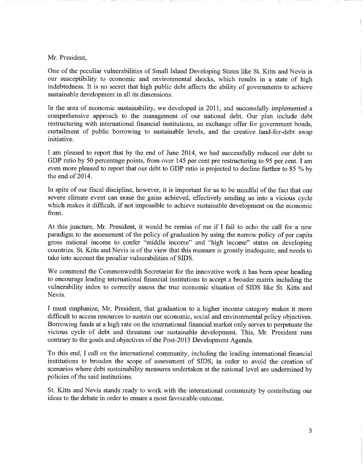## Mr. President,

One of the peculiar vulnerabilities of Small Island Developing States like St. Kitts and Nevis is our susceptibility to economic and environmental shocks, which results in a state of high indebtedness. It is no secret that high public debt affects the ability of governments to achieve sustainable development in all its dimensions.

In the area of economic sustainability, we developed in 2011, and successfully implemented a comprehensive approach to the management of our national debt. Our plan include debt restructuring with international fmancial institutions, an exchange offer for government bonds, curtailment of public borrowing to sustainable levels, and the creative land-for-debt swap initiative.

I am pleased to report that by the end of June 2014, we had successfully reduced our debt to GDP ratio by 50 percentage points, from over 145 per cent pre restructuring to 95 per cent. I am even more pleased to report that our debt to GDP ratio is projected to decline further to 85 % by the end of 2014.

In spite of our fiscal discipline, however, it is important for us to be mindful of the fact that one severe climate event can erase the gains achieved, effectively sending us into a vicious cycle which makes it difficult, if not impossible to achieve sustainable development on the economic front.

At this juncture, Mr. President, it would be remiss of me if I fail to echo the call for a new paradigm to the assessment of the policy of graduation by using the narrow policy of per capita gross national income to confer "middle income" and "high income" status on developing countries. St. Kitts and Nevis is of the view that this measure is grossly inadequate, and needs to take into account the peculiar vulnerabilities of SIDS.

We commend the Commonwealth Secretariat for the innovative work it has been spear heading to encourage leading international financial institutions to accept a broader matrix including the vulnerability index to correctly assess the true economic situation of SIDS like St. Kitts and Nevis.

I must emphasize, Mr. President, that graduation to a higher income category makes it more difficult to access resources to sustain our economic, social and environmental policy objectives. Borrowing funds at a high rate on the international fmancial market only serves to perpetuate the vicious cycle of debt and threatens our sustainable development. This, Mr. President runs contrary to the goals and objectives of the Post-2015 Development Agenda.

To this end, I call on the international community, including the leading international fmancial institutions to broaden the scope of assessment of SIDS, in order to avoid the creation of scenarios where debt sustainability measures undertaken at the national level are undermined by policies of the said institutions.

St. Kitts and Nevis stands ready to work with the international community by contributing our ideas to the debate in order to ensure a most favourable outcome.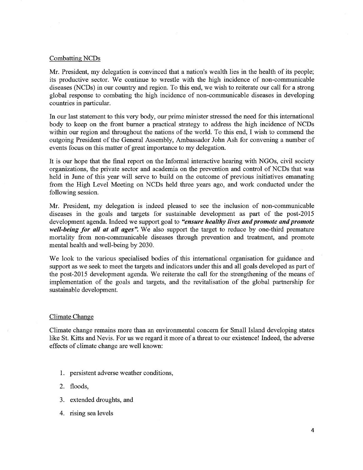# Combatting NCDs

Mr. President, my delegation is convinced that a nation's wealth lies in the health of its people; its productive sector. We continue to wrestle with the high incidence of non-communicable diseases (NCDs) in our country and region. To this end, we wish to reiterate our call for a strong global response to combating the high incidence of non-communicable diseases in developing countries in particular.

In our last statement to this very body, our prime minister stressed the need for this international body to keep on the front burner a practical strategy to address the high incidence of NCDs within our region and throughout the nations of the world. To this end, I wish to commend the outgoing President of the General Assembly, Ambassador John Ash for convening a number of events focus on this matter of great importance to my delegation.

It is our hope that the final report on the Informal interactive hearing with NGOs, civil society organizations, the private sector and academia on the prevention and control of NCDs that was held in June of this year will serve to build on the outcome of previous initiatives emanating from the High Level Meeting on NCDs held three years ago, and work conducted under the following session.

Mr. President, my delegation is indeed pleased to see the inclusion of non-communicable diseases in the goals and targets for sustainable development as part of the post-2015 development agenda. Indeed we support goal to "ensure healthy lives and promote and promote well-being for all at all ages". We also support the target to reduce by one-third premature mortality from non-communicable diseases through prevention and treatment, and promote mental health and well-being by 2030.

We look to the various specialised bodies of this international organisation for guidance and support as we seek to meet the targets and indicators under this and all goals developed as part of the post-2015 development agenda. We reiterate the call for the strengthening of the means of implementation of the goals and targets, and the revitalisation of the global partnership for sustainable development.

# Climate Change

Climate change remains more than an environmental concern for Small Island developing states like St. Kitts and Nevis. For us we regard it more of a threat to our existence! Indeed, the adverse effects of climate change are well known:

- 1. persistent adverse weather conditions,
- 2. floods,
- 3. extended droughts, and
- 4. rising sea levels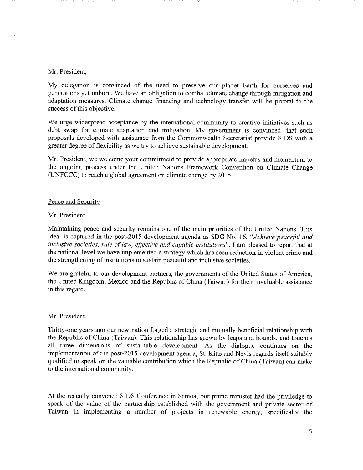# Mr. President,

My delegation is convinced of the need to preserve our planet Earth for ourselves and generations yet unborn. We have an obligation to combat climate change through mitigation and adaptation measures. Climate change financing and technology transfer will be pivotal to the success of this objective.

We urge widespread acceptance by the international community to creative initiatives such as debt swap for climate adaptation and mitigation. My government is convinced that such proposals developed with assistance from the Commonwealth Secretariat provide SIDS with a greater degree of flexibility as we try to achieve sustainable development.

Mr. President, we welcome your commitment to provide appropriate impetus and momentum to the ongoing process under the United Nations Framework Convention on Climate Change (UNFCCC) to reach a global agreement on climate change by 2015.

#### Peace and Security

## Mr. President,

Maintaining peace and security remains one of the main priorities of the United Nations. This ideal is captured in the post-2015 development agenda as SDG No. 16, "Achieve peaceful and inclusive societies, rule of law, effective and capable institutions". I am pleased to report that at the national level we have implemented a strategy which has seen reduction in violent crime and the strengthening of institutions to sustain peaceful and inclusive societies.

We are grateful to our development parmers, the governments of the United States of America, the United Kingdom, Mexico and the Republic of China (Taiwan) for their invaluable assistance in this regard.

#### Mr. President

Thirty-one years ago our new nation forged a strategic and mutually beneficial relationship with the Republic of China (Taiwan). This relationship has grown by leaps and bounds, and touches all three dimensions of sustainable development. As the dialogue continues on the implementation of the post-2015 development agenda, St. Kitts and Nevis regards itself suitably qualified to speak on the valuable contribution which the Republic of China (Taiwan) can make to the international community.

At the recently convened S1DS Conference in Samoa, our prime minister had the priviledge to speak of the value of the partnership established with the government and private sector of Taiwan in implementing a number of projects in renewable energy, specifically the